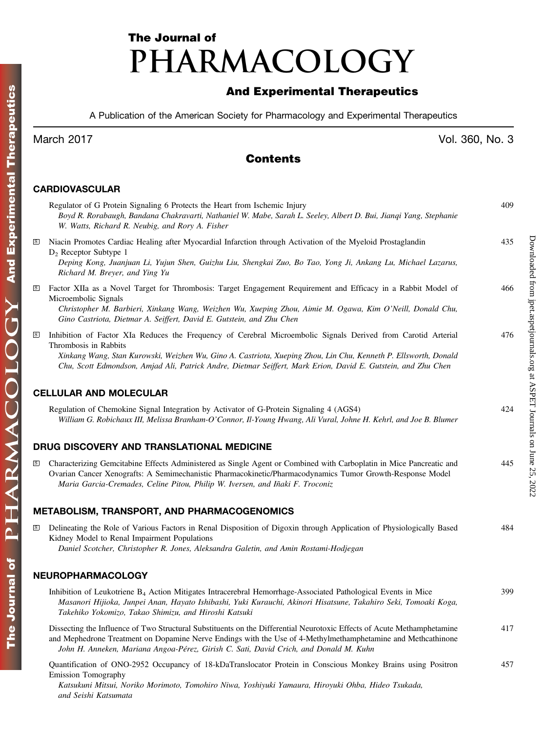# The Journal of PHARMACOLOGY

# And Experimental Therapeutics

A Publication of the American Society for Pharmacology and Experimental Therapeutics

## Contents

#### CARDIOVASCULAR

|                         | Regulator of G Protein Signaling 6 Protects the Heart from Ischemic Injury<br>Boyd R. Rorabaugh, Bandana Chakravarti, Nathaniel W. Mabe, Sarah L. Seeley, Albert D. Bui, Jianqi Yang, Stephanie<br>W. Watts, Richard R. Neubig, and Rory A. Fisher                                                                                                                         | 409 |
|-------------------------|----------------------------------------------------------------------------------------------------------------------------------------------------------------------------------------------------------------------------------------------------------------------------------------------------------------------------------------------------------------------------|-----|
| $\rm S$                 | Niacin Promotes Cardiac Healing after Myocardial Infarction through Activation of the Myeloid Prostaglandin<br>$D_2$ Receptor Subtype 1<br>Deping Kong, Juanjuan Li, Yujun Shen, Guizhu Liu, Shengkai Zuo, Bo Tao, Yong Ji, Ankang Lu, Michael Lazarus,<br>Richard M. Breyer, and Ying Yu                                                                                  | 435 |
| $\,$ s                  | Factor XIIa as a Novel Target for Thrombosis: Target Engagement Requirement and Efficacy in a Rabbit Model of<br>Microembolic Signals<br>Christopher M. Barbieri, Xinkang Wang, Weizhen Wu, Xueping Zhou, Aimie M. Ogawa, Kim O'Neill, Donald Chu,<br>Gino Castriota, Dietmar A. Seiffert, David E. Gutstein, and Zhu Chen                                                 | 466 |
| $\mathbf S$             | Inhibition of Factor XIa Reduces the Frequency of Cerebral Microembolic Signals Derived from Carotid Arterial<br>Thrombosis in Rabbits<br>Xinkang Wang, Stan Kurowski, Weizhen Wu, Gino A. Castriota, Xueping Zhou, Lin Chu, Kenneth P. Ellsworth, Donald<br>Chu, Scott Edmondson, Amjad Ali, Patrick Andre, Dietmar Seiffert, Mark Erion, David E. Gutstein, and Zhu Chen | 476 |
|                         | <b>CELLULAR AND MOLECULAR</b>                                                                                                                                                                                                                                                                                                                                              |     |
|                         | Regulation of Chemokine Signal Integration by Activator of G-Protein Signaling 4 (AGS4)<br>William G. Robichaux III, Melissa Branham-O'Connor, Il-Young Hwang, Ali Vural, Johne H. Kehrl, and Joe B. Blumer                                                                                                                                                                | 424 |
|                         | DRUG DISCOVERY AND TRANSLATIONAL MEDICINE                                                                                                                                                                                                                                                                                                                                  |     |
| $\overline{\mathbf{s}}$ | Characterizing Gemcitabine Effects Administered as Single Agent or Combined with Carboplatin in Mice Pancreatic and<br>Ovarian Cancer Xenografts: A Semimechanistic Pharmacokinetic/Pharmacodynamics Tumor Growth-Response Model<br>Maria Garcia-Cremades, Celine Pitou, Philip W. Iversen, and Iñaki F. Troconiz                                                          | 445 |
|                         | METABOLISM, TRANSPORT, AND PHARMACOGENOMICS                                                                                                                                                                                                                                                                                                                                |     |
| $\mathbf{s}$            | Delineating the Role of Various Factors in Renal Disposition of Digoxin through Application of Physiologically Based<br>Kidney Model to Renal Impairment Populations<br>Daniel Scotcher, Christopher R. Jones, Aleksandra Galetin, and Amin Rostami-Hodjegan                                                                                                               | 484 |
|                         | NEUROPHARMACOLOGY                                                                                                                                                                                                                                                                                                                                                          |     |
|                         | Inhibition of Leukotriene B <sub>4</sub> Action Mitigates Intracerebral Hemorrhage-Associated Pathological Events in Mice<br>Masanori Hijioka, Junpei Anan, Hayato Ishibashi, Yuki Kurauchi, Akinori Hisatsune, Takahiro Seki, Tomoaki Koga,<br>Takehiko Yokomizo, Takao Shimizu, and Hiroshi Katsuki                                                                      | 399 |
|                         | Dissecting the Influence of Two Structural Substituents on the Differential Neurotoxic Effects of Acute Methamphetamine<br>and Mephedrone Treatment on Dopamine Nerve Endings with the Use of 4-Methylmethamphetamine and Methcathinone<br>John H. Anneken, Mariana Angoa-Pérez, Girish C. Sati, David Crich, and Donald M. Kuhn.                                          | 417 |

Quantification of ONO-2952 Occupancy of 18-kDaTranslocator Protein in Conscious Monkey Brains using Positron Emission Tomography 457

Katsukuni Mitsui, Noriko Morimoto, Tomohiro Niwa, Yoshiyuki Yamaura, Hiroyuki Ohba, Hideo Tsukada, and Seishi Katsumata

March 2017 Vol. 360, No. 3